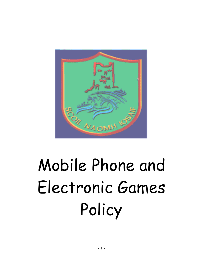

# Mobile Phone and Electronic Games Policy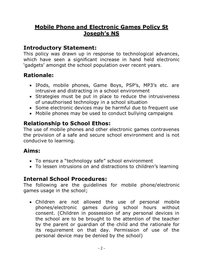## **Mobile Phone and Electronic Games Policy St Joseph's NS**

## **Introductory Statement:**

This policy was drawn up in response to technological advances, which have seen a significant increase in hand held electronic 'gadgets' amongst the school population over recent years.

## **Rationale:**

- IPods, mobile phones, Game Boys, PSP's, MP3's etc. are intrusive and distracting in a school environment
- Strategies must be put in place to reduce the intrusiveness of unauthorised technology in a school situation
- Some electronic devices may be harmful due to frequent use
- Mobile phones may be used to conduct bullying campaigns

## **Relationship to School Ethos:**

The use of mobile phones and other electronic games contravenes the provision of a safe and secure school environment and is not conducive to learning.

## **Aims:**

- To ensure a "technology safe" school environment
- To lessen intrusions on and distractions to children's learning

## **Internal School Procedures:**

The following are the guidelines for mobile phone/electronic games usage in the school;

• Children are not allowed the use of personal mobile phones/electronic games during school hours without consent. (Children in possession of any personal devices in the school are to be brought to the attention of the teacher by the parent or guardian of the child and the rationale for its requirement on that day. Permission of use of the personal device may be denied by the school)